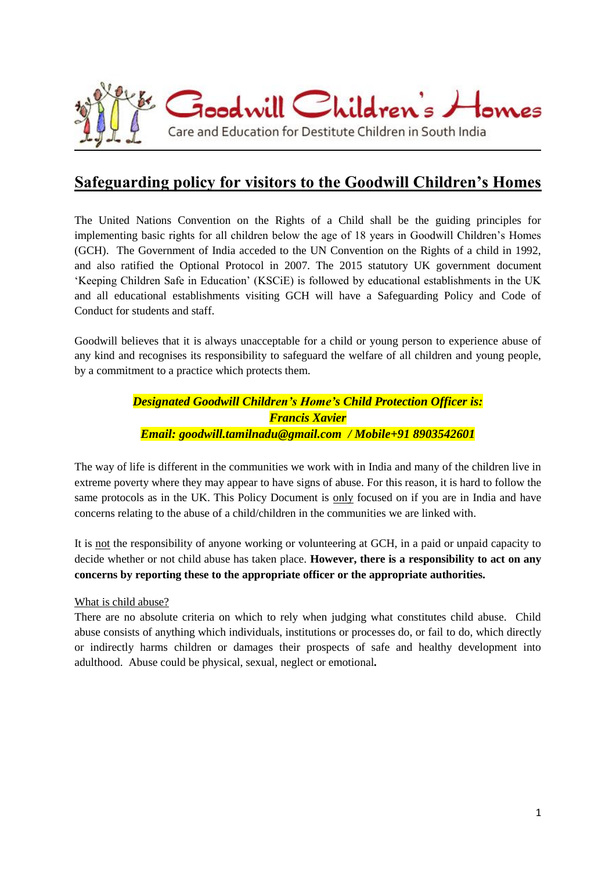

# **Safeguarding policy for visitors to the Goodwill Children's Homes**

The United Nations Convention on the Rights of a Child shall be the guiding principles for implementing basic rights for all children below the age of 18 years in Goodwill Children's Homes (GCH). The Government of India acceded to the UN Convention on the Rights of a child in 1992, and also ratified the Optional Protocol in 2007. The 2015 statutory UK government document 'Keeping Children Safe in Education' (KSCiE) is followed by educational establishments in the UK and all educational establishments visiting GCH will have a Safeguarding Policy and Code of Conduct for students and staff.

Goodwill believes that it is always unacceptable for a child or young person to experience abuse of any kind and recognises its responsibility to safeguard the welfare of all children and young people, by a commitment to a practice which protects them.

> *Designated Goodwill Children's Home's Child Protection Officer is: Francis Xavier Email: goodwill.tamilnadu@gmail.com / Mobile+91 8903542601*

The way of life is different in the communities we work with in India and many of the children live in extreme poverty where they may appear to have signs of abuse. For this reason, it is hard to follow the same protocols as in the UK. This Policy Document is only focused on if you are in India and have concerns relating to the abuse of a child/children in the communities we are linked with.

It is not the responsibility of anyone working or volunteering at GCH, in a paid or unpaid capacity to decide whether or not child abuse has taken place. **However, there is a responsibility to act on any concerns by reporting these to the appropriate officer or the appropriate authorities.**

# What is child abuse?

There are no absolute criteria on which to rely when judging what constitutes child abuse. Child abuse consists of anything which individuals, institutions or processes do, or fail to do, which directly or indirectly harms children or damages their prospects of safe and healthy development into adulthood. Abuse could be physical, sexual, neglect or emotional*.*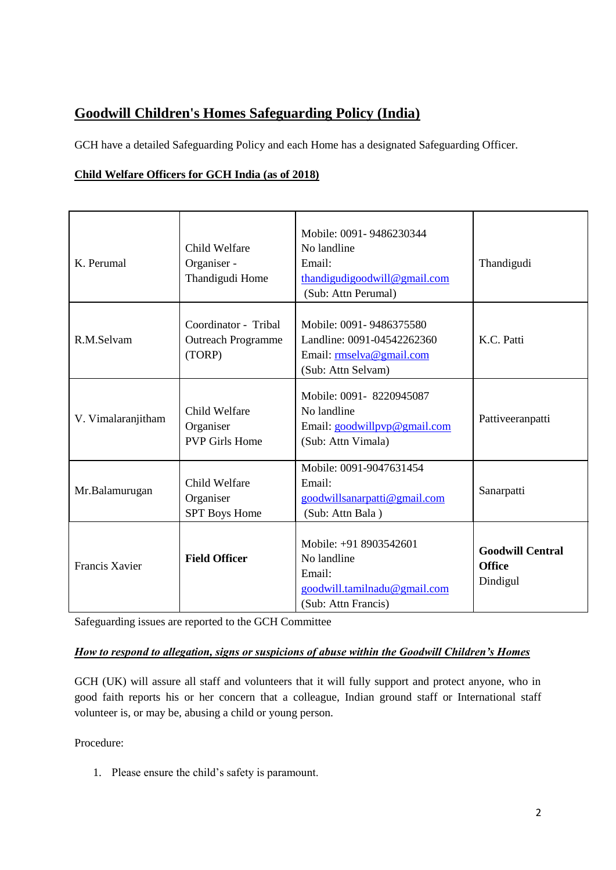# **Goodwill Children's Homes Safeguarding Policy (India)**

GCH have a detailed Safeguarding Policy and each Home has a designated Safeguarding Officer.

# **Child Welfare Officers for GCH India (as of 2018)**

| K. Perumal            | Child Welfare<br>Organiser -<br>Thandigudi Home             | Mobile: 0091-9486230344<br>No landline<br>Email:<br>thandigudigoodwill@gmail.com<br>(Sub: Attn Perumal) | Thandigudi                                           |
|-----------------------|-------------------------------------------------------------|---------------------------------------------------------------------------------------------------------|------------------------------------------------------|
| R.M.Selvam            | Coordinator - Tribal<br><b>Outreach Programme</b><br>(TORP) | Mobile: 0091-9486375580<br>Landline: 0091-04542262360<br>Email: rmselva@gmail.com<br>(Sub: Attn Selvam) | K.C. Patti                                           |
| V. Vimalaranjitham    | Child Welfare<br>Organiser<br><b>PVP Girls Home</b>         | Mobile: 0091-8220945087<br>No landline<br>Email: goodwillpyp@gmail.com<br>(Sub: Attn Vimala)            | Pattiveeranpatti                                     |
| Mr.Balamurugan        | Child Welfare<br>Organiser<br><b>SPT</b> Boys Home          | Mobile: 0091-9047631454<br>Email:<br>goodwillsanarpatti@gmail.com<br>(Sub: Attn Bala)                   | Sanarpatti                                           |
| <b>Francis Xavier</b> | <b>Field Officer</b>                                        | Mobile: +91 8903542601<br>No landline<br>Email:<br>goodwill.tamilnadu@gmail.com<br>(Sub: Attn Francis)  | <b>Goodwill Central</b><br><b>Office</b><br>Dindigul |

Safeguarding issues are reported to the GCH Committee

# *How to respond to allegation, signs or suspicions of abuse within the Goodwill Children's Homes*

GCH (UK) will assure all staff and volunteers that it will fully support and protect anyone, who in good faith reports his or her concern that a colleague, Indian ground staff or International staff volunteer is, or may be, abusing a child or young person.

Procedure:

1. Please ensure the child's safety is paramount.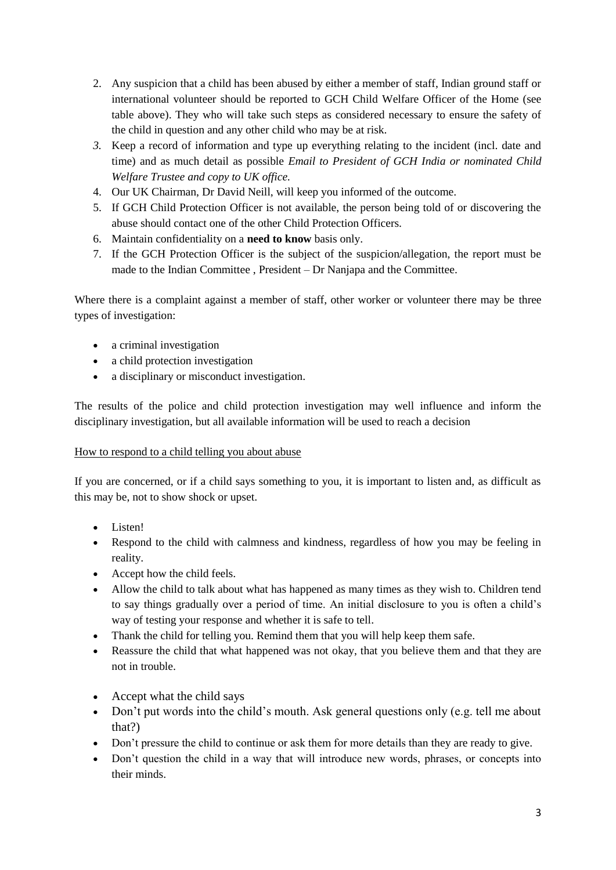- 2. Any suspicion that a child has been abused by either a member of staff, Indian ground staff or international volunteer should be reported to GCH Child Welfare Officer of the Home (see table above). They who will take such steps as considered necessary to ensure the safety of the child in question and any other child who may be at risk.
- *3.* Keep a record of information and type up everything relating to the incident (incl. date and time) and as much detail as possible *Email to President of GCH India or nominated Child Welfare Trustee and copy to UK office.*
- 4. Our UK Chairman, Dr David Neill, will keep you informed of the outcome.
- 5. If GCH Child Protection Officer is not available, the person being told of or discovering the abuse should contact one of the other Child Protection Officers.
- 6. Maintain confidentiality on a **need to know** basis only.
- 7. If the GCH Protection Officer is the subject of the suspicion/allegation, the report must be made to the Indian Committee , President – Dr Nanjapa and the Committee.

Where there is a complaint against a member of staff, other worker or volunteer there may be three types of investigation:

- a criminal investigation
- a child protection investigation
- a disciplinary or misconduct investigation.

The results of the police and child protection investigation may well influence and inform the disciplinary investigation, but all available information will be used to reach a decision

# How to respond to a child telling you about abuse

If you are concerned, or if a child says something to you, it is important to listen and, as difficult as this may be, not to show shock or upset.

- Listen!
- Respond to the child with calmness and kindness, regardless of how you may be feeling in reality.
- Accept how the child feels.
- Allow the child to talk about what has happened as many times as they wish to. Children tend to say things gradually over a period of time. An initial disclosure to you is often a child's way of testing your response and whether it is safe to tell.
- Thank the child for telling you. Remind them that you will help keep them safe.
- Reassure the child that what happened was not okay, that you believe them and that they are not in trouble.
- Accept what the child says
- Don't put words into the child's mouth. Ask general questions only (e.g. tell me about that?)
- Don't pressure the child to continue or ask them for more details than they are ready to give.
- Don't question the child in a way that will introduce new words, phrases, or concepts into their minds.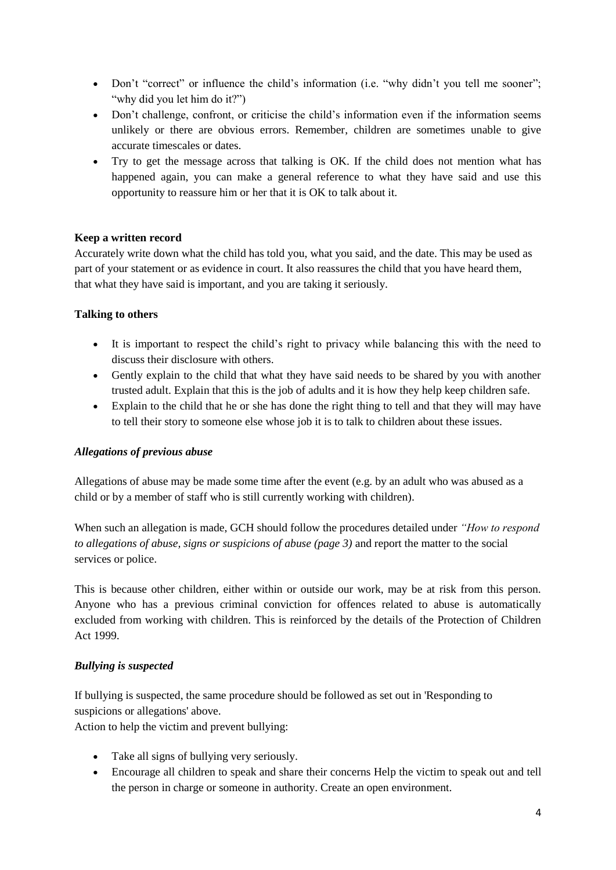- Don't "correct" or influence the child's information (i.e. "why didn't you tell me sooner"; "why did you let him do it?")
- Don't challenge, confront, or criticise the child's information even if the information seems unlikely or there are obvious errors. Remember, children are sometimes unable to give accurate timescales or dates.
- Try to get the message across that talking is OK. If the child does not mention what has happened again, you can make a general reference to what they have said and use this opportunity to reassure him or her that it is OK to talk about it.

#### **Keep a written record**

Accurately write down what the child has told you, what you said, and the date. This may be used as part of your statement or as evidence in court. It also reassures the child that you have heard them, that what they have said is important, and you are taking it seriously.

#### **Talking to others**

- It is important to respect the child's right to privacy while balancing this with the need to discuss their disclosure with others.
- Gently explain to the child that what they have said needs to be shared by you with another trusted adult. Explain that this is the job of adults and it is how they help keep children safe.
- Explain to the child that he or she has done the right thing to tell and that they will may have to tell their story to someone else whose job it is to talk to children about these issues.

#### *Allegations of previous abuse*

Allegations of abuse may be made some time after the event (e.g. by an adult who was abused as a child or by a member of staff who is still currently working with children).

When such an allegation is made, GCH should follow the procedures detailed under *"How to respond to allegations of abuse, signs or suspicions of abuse (page 3)* and report the matter to the social services or police.

This is because other children, either within or outside our work, may be at risk from this person. Anyone who has a previous criminal conviction for offences related to abuse is automatically excluded from working with children. This is reinforced by the details of the Protection of Children Act 1999.

# *Bullying is suspected*

If bullying is suspected, the same procedure should be followed as set out in 'Responding to suspicions or allegations' above.

Action to help the victim and prevent bullying:

- Take all signs of bullying very seriously.
- Encourage all children to speak and share their concerns Help the victim to speak out and tell the person in charge or someone in authority. Create an open environment.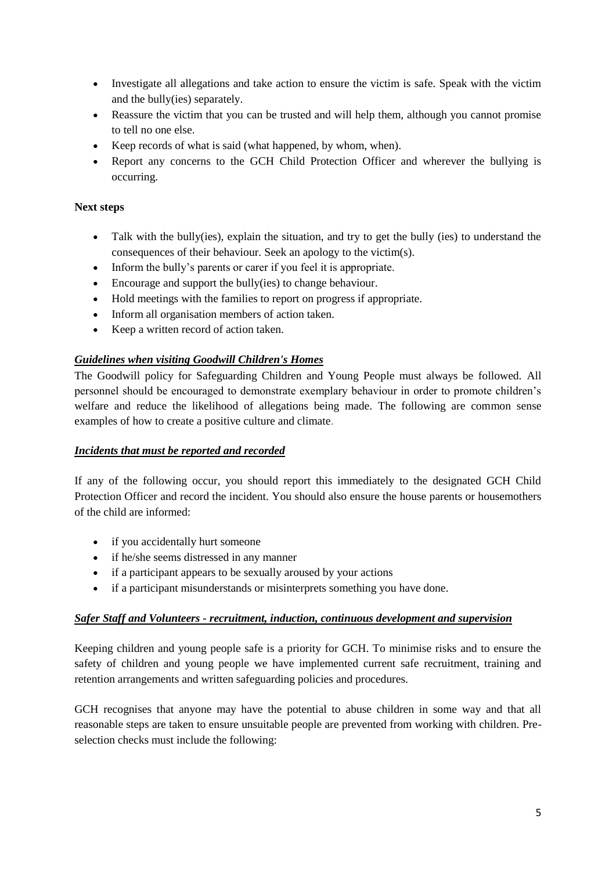- Investigate all allegations and take action to ensure the victim is safe. Speak with the victim and the bully(ies) separately.
- Reassure the victim that you can be trusted and will help them, although you cannot promise to tell no one else.
- Keep records of what is said (what happened, by whom, when).
- Report any concerns to the GCH Child Protection Officer and wherever the bullying is occurring.

### **Next steps**

- Talk with the bully(ies), explain the situation, and try to get the bully (ies) to understand the consequences of their behaviour. Seek an apology to the victim(s).
- Inform the bully's parents or carer if you feel it is appropriate.
- Encourage and support the bully(ies) to change behaviour.
- Hold meetings with the families to report on progress if appropriate.
- Inform all organisation members of action taken.
- Keep a written record of action taken.

# *Guidelines when visiting Goodwill Children's Homes*

The Goodwill policy for Safeguarding Children and Young People must always be followed. All personnel should be encouraged to demonstrate exemplary behaviour in order to promote children's welfare and reduce the likelihood of allegations being made. The following are common sense examples of how to create a positive culture and climate.

# *Incidents that must be reported and recorded*

If any of the following occur, you should report this immediately to the designated GCH Child Protection Officer and record the incident. You should also ensure the house parents or housemothers of the child are informed:

- if you accidentally hurt someone
- if he/she seems distressed in any manner
- if a participant appears to be sexually aroused by your actions
- if a participant misunderstands or misinterprets something you have done.

# *Safer Staff and Volunteers - recruitment, induction, continuous development and supervision*

Keeping children and young people safe is a priority for GCH. To minimise risks and to ensure the safety of children and young people we have implemented current safe recruitment, training and retention arrangements and written safeguarding policies and procedures.

GCH recognises that anyone may have the potential to abuse children in some way and that all reasonable steps are taken to ensure unsuitable people are prevented from working with children. Preselection checks must include the following: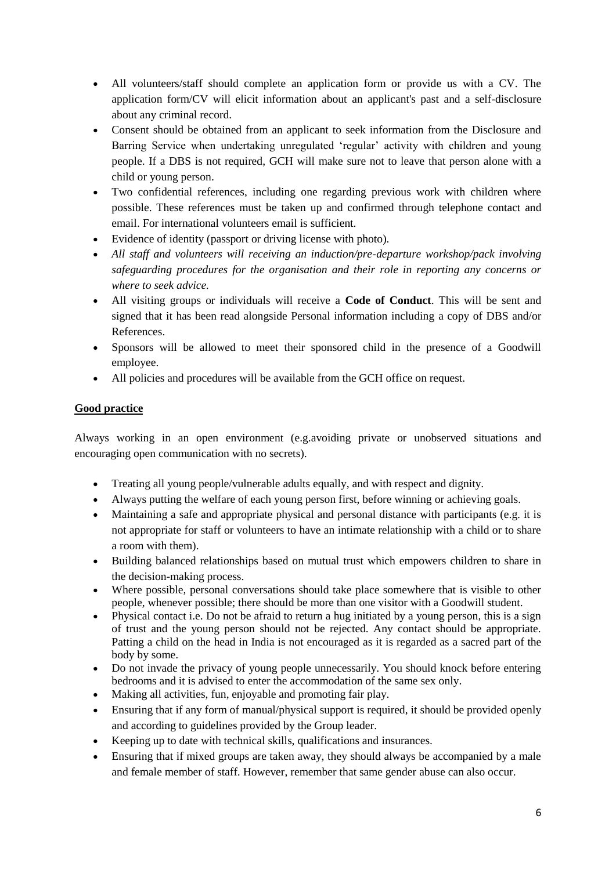- All volunteers/staff should complete an application form or provide us with a CV. The application form/CV will elicit information about an applicant's past and a self-disclosure about any criminal record.
- Consent should be obtained from an applicant to seek information from the Disclosure and Barring Service when undertaking unregulated 'regular' activity with children and young people. If a DBS is not required, GCH will make sure not to leave that person alone with a child or young person.
- Two confidential references, including one regarding previous work with children where possible. These references must be taken up and confirmed through telephone contact and email. For international volunteers email is sufficient.
- Evidence of identity (passport or driving license with photo).
- *All staff and volunteers will receiving an induction/pre-departure workshop/pack involving safeguarding procedures for the organisation and their role in reporting any concerns or where to seek advice.*
- All visiting groups or individuals will receive a **Code of Conduct**. This will be sent and signed that it has been read alongside Personal information including a copy of DBS and/or References.
- Sponsors will be allowed to meet their sponsored child in the presence of a Goodwill employee.
- All policies and procedures will be available from the GCH office on request.

# **Good practice**

Always working in an open environment (e.g.avoiding private or unobserved situations and encouraging open communication with no secrets).

- Treating all young people/vulnerable adults equally, and with respect and dignity.
- Always putting the welfare of each young person first, before winning or achieving goals.
- Maintaining a safe and appropriate physical and personal distance with participants (e.g. it is not appropriate for staff or volunteers to have an intimate relationship with a child or to share a room with them).
- Building balanced relationships based on mutual trust which empowers children to share in the decision-making process.
- Where possible, personal conversations should take place somewhere that is visible to other people, whenever possible; there should be more than one visitor with a Goodwill student.
- Physical contact i.e. Do not be afraid to return a hug initiated by a young person, this is a sign of trust and the young person should not be rejected. Any contact should be appropriate. Patting a child on the head in India is not encouraged as it is regarded as a sacred part of the body by some.
- Do not invade the privacy of young people unnecessarily. You should knock before entering bedrooms and it is advised to enter the accommodation of the same sex only.
- Making all activities, fun, enjoyable and promoting fair play.
- Ensuring that if any form of manual/physical support is required, it should be provided openly and according to guidelines provided by the Group leader.
- Keeping up to date with technical skills, qualifications and insurances.
- Ensuring that if mixed groups are taken away, they should always be accompanied by a male and female member of staff. However, remember that same gender abuse can also occur.